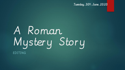Tuesday 30th June 2020

# A Roman Mystery Story EDITING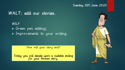#### Tuesday 30th June 2020

#### WALT: edit our stories.

WILF Green pen editing; **Improvements to your writing.** 

How will your story end?

Today you will decide upon a suitable ending for your Roman story.

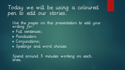#### Today we will be using a coloured pen to edit our stories.

Use the pages on this presentation to edit your writing for: Full sentences; **Punctuation**  Conjunctions; Spellings and word choices.

Spend around 5 minutes working on each area.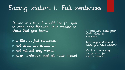### Editing station 1: Full sentences

During this time I would like for you to read back through your writing to check that you have:

• written in full sentences; not used abbreviations; not missed any words; clear sentences that all make sense!

If you can, read your work aloud to someone.

Can they understand what you have written?

Do they have any suggestions for improvements?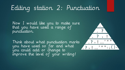### Editing station 2: Punctuation

Now I would like you to make sure that you have used a range of punctuation.

Think about what punctuation marks you have used so far and what you could add or change to improve the level of your writing!

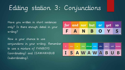## Editing station 3: Conjunctions

Have you written in short sentences only? Is there enough detail in your writing?

Now is your chance to use conjunctions in your writing. Remember to use a mixture of FANBOYS (coordinating) and ISAWAWABUB (subordinating).

|  |  | for and nor but or yet so |  |
|--|--|---------------------------|--|
|  |  | F A N B O Y S             |  |

| since | $\alpha s$ | when | although | while | after | before | until | because    |
|-------|------------|------|----------|-------|-------|--------|-------|------------|
|       |            |      |          |       |       |        |       | ISAWAWABUB |